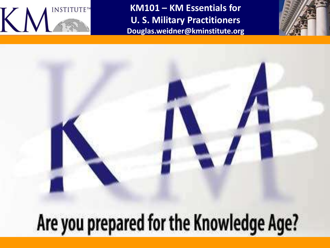

**KM101 – KM Essentials for U. S. Military Practitioners Douglas.weidner@kminstitute.org**



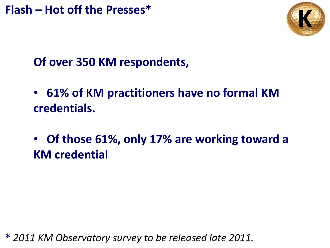**Flash – Hot off the Presses\* K**



## **Of over 350 KM respondents,**

- • **61% of KM practitioners have no formal KM credentials.**
- • **Of those 61%, only 17% are working toward a KM credential**

**\*** *2011 KM Observatory survey to be released late 2011.*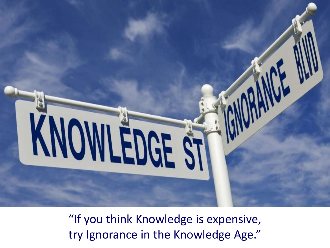

"If you think Knowledge is expensive, try Ignorance in the Knowledge Age."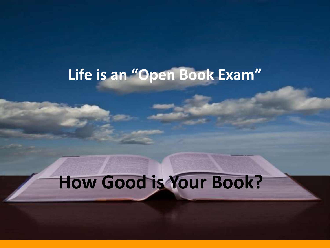# **Life is an "Open Book Exam"**

**50%**

# **How Good is Your Book?**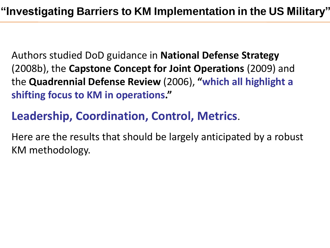Authors studied DoD guidance in **National Defense Strategy**  (2008b), the **Capstone Concept for Joint Operations** (2009) and the **Quadrennial Defense Review** (2006), **"which all highlight a shifting focus to KM in operations."**

## **Leadership, Coordination, Control, Metrics**.

Here are the results that should be largely anticipated by a robust KM methodology.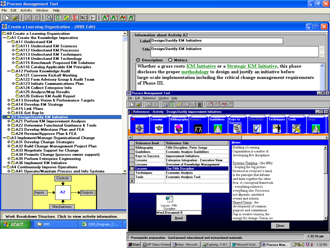File Edit Activity Window Help

#### αI IG. lici IĦ IA'IIATI<del>A</del> DI It⊠l

#### क<mark>े Create a Learning Organization - (WBS Edit)</mark><br><mark>ार</mark> A0 Create a Learning Organization



| 停<br>c                                                                                         |                                                                                  |                                                                                                |                   |                                                         |                              |                            |                                 |
|------------------------------------------------------------------------------------------------|----------------------------------------------------------------------------------|------------------------------------------------------------------------------------------------|-------------------|---------------------------------------------------------|------------------------------|----------------------------|---------------------------------|
| zation - (WBS Edit)                                                                            |                                                                                  |                                                                                                |                   |                                                         |                              |                            |                                 |
| ization                                                                                        |                                                                                  |                                                                                                |                   |                                                         |                              |                            |                                 |
| Imperative                                                                                     | Information about Activity A2                                                    |                                                                                                |                   |                                                         |                              |                            |                                 |
|                                                                                                | Label Design/Justify KM Initiative                                               |                                                                                                |                   |                                                         |                              |                            |                                 |
| <b>Sciences</b>                                                                                | Title Design/Justify KM Initiative                                               |                                                                                                |                   |                                                         |                              |                            |                                 |
| <b>Processes</b>                                                                               |                                                                                  |                                                                                                |                   |                                                         |                              |                            |                                 |
| Techniques<br>l Technology                                                                     |                                                                                  |                                                                                                |                   |                                                         |                              |                            |                                 |
| posed KM Solutions                                                                             | O Metrics<br>⊙ Description                                                       |                                                                                                |                   |                                                         |                              |                            |                                 |
| able KM Principles                                                                             | Whether a grass roots KM Initiative or a Strategic KM Initiative, this phase     |                                                                                                |                   |                                                         |                              |                            |                                 |
| e Audit                                                                                        | discloses the proper methodology to design and justify an initiative before      |                                                                                                |                   |                                                         |                              |                            |                                 |
| iff Meeting                                                                                    | large-scale implementation including the critical change management requirements |                                                                                                |                   |                                                         |                              |                            |                                 |
| Group & Audit Team                                                                             | of Phase $\mathop{\rm III}.$                                                     |                                                                                                |                   |                                                         |                              |                            |                                 |
| nications Plan                                                                                 |                                                                                  |                                                                                                |                   |                                                         |                              |                            |                                 |
| ise Info<br>lesults                                                                            |                                                                                  |                                                                                                |                   |                                                         |                              |                            |                                 |
| lit Report                                                                                     | <b>Process Management Tool</b>                                                   |                                                                                                |                   |                                                         |                              |                            | Ð<br>lx                         |
| erformance Targets'                                                                            | Edit Reference Window Help<br>File                                               |                                                                                                |                   |                                                         |                              |                            |                                 |
| :gy                                                                                            |                                                                                  |                                                                                                |                   |                                                         |                              |                            |                                 |
|                                                                                                |                                                                                  |                                                                                                |                   |                                                         |                              |                            |                                 |
|                                                                                                |                                                                                  | <b>Solution</b> References - Activity - Design/Justify Improvement Initiatives                 |                   |                                                         |                              |                            | $\blacksquare$ o $\blacksquare$ |
| iative                                                                                         | <b>Lessons</b>                                                                   | <b>Bibliography</b><br><b>Barriers</b>                                                         | <b>Guidelines</b> | <b>Keys to</b><br>Checklists                            | <b>Techniques</b>            | Tools<br><b>Steps</b>      |                                 |
| ement Analysis <sup>.</sup><br>nal Guidance & Tools                                            |                                                                                  |                                                                                                |                   | <b>Success</b>                                          |                              |                            |                                 |
| <b>Plan and FEA</b>                                                                            | ∙A×                                                                              | ĀΛ                                                                                             |                   | ₹                                                       |                              |                            |                                 |
| 'lan & FEA                                                                                     |                                                                                  |                                                                                                |                   |                                                         |                              |                            |                                 |
| ganizational Change                                                                            |                                                                                  |                                                                                                |                   |                                                         |                              |                            |                                 |
| trategies                                                                                      | <b>Reference Book</b>                                                            | <b>Reference Title</b>                                                                         |                   | Memo:                                                   |                              |                            |                                 |
| agement Project Plan                                                                           | Bibliography                                                                     | Fifth Discipline, Peter Senge                                                                  |                   | Building a Learning                                     |                              |                            |                                 |
| for Change                                                                                     | <b>Guidelines</b>                                                                | <b>Economic Analysis Guidelines</b>                                                            |                   | Organization is a matter of                             |                              |                            |                                 |
| )rocess owner support)<br>Engineering                                                          | <b>Keys to Success</b>                                                           | <b>Improvement Initiatives</b>                                                                 |                   | developing five disciplines:                            |                              |                            |                                 |
| ative                                                                                          |                                                                                  | Lessons<br><b>Enterprise Integration - Executive View</b>                                      |                   | Systems Thinking - (the fifth)                          |                              |                            |                                 |
| Operations                                                                                     |                                                                                  | Lessons<br>Overview of Knowledge Management                                                    |                   | - keeping the big picture                               |                              |                            |                                 |
| Process and Info Systems                                                                       |                                                                                  | <b>The Fifth Discipline</b><br><b>Lessons</b><br>Techniques<br><b>Economic Analysis</b>        |                   |                                                         | foremost in everyone's mind, |                            |                                 |
|                                                                                                | Tools                                                                            | <b>Economic Analysis Tool</b>                                                                  |                   | is the principle that informs                           |                              |                            |                                 |
| ontrols:                                                                                       |                                                                                  |                                                                                                |                   | and knits together the other                            |                              |                            |                                 |
| ÷                                                                                              |                                                                                  |                                                                                                |                   | four. A conceptual framework<br>everything related to   |                              |                            |                                 |
|                                                                                                |                                                                                  |                                                                                                |                   | everything else. Processes,                             |                              |                            |                                 |
| A2<br>Outputs                                                                                  |                                                                                  |                                                                                                |                   | not separate, unrelated                                 |                              |                            |                                 |
|                                                                                                |                                                                                  | w                                                                                              |                   | events and actions.                                     |                              |                            |                                 |
|                                                                                                |                                                                                  | Lesson - Fifth                                                                                 |                   | Shared Vision - the                                     |                              |                            |                                 |
| chanisms                                                                                       |                                                                                  | Discipline                                                                                     |                   | development of common                                   |                              |                            |                                 |
| Word.Document.8                                                                                |                                                                                  |                                                                                                |                   | purpose and commitment.<br>Gap is creative tension, the |                              |                            |                                 |
| Click to view activity information.                                                            |                                                                                  | Read                                                                                           |                   | energy for change. Vision, no                           |                              |                            |                                 |
| 图 CKM_Program_C                                                                                |                                                                                  |                                                                                                |                   |                                                         |                              |                            |                                 |
|                                                                                                |                                                                                  |                                                                                                |                   |                                                         | Close                        |                            |                                 |
|                                                                                                |                                                                                  |                                                                                                |                   |                                                         |                              |                            |                                 |
| $1:32:16$ pm<br>Prerequisite preparation - background educational and instructional materials. |                                                                                  |                                                                                                |                   |                                                         |                              |                            |                                 |
|                                                                                                |                                                                                  | A Start   Al HP Status Window   ③ Inbox - Microsoft    Q Exploring - K.M.C   Fy Microsoft Word |                   |                                                         |                              | 9s4.<br><b>■ 喻 1:32 PM</b> |                                 |
|                                                                                                |                                                                                  |                                                                                                |                   |                                                         | ll-o-Process Man.            |                            |                                 |

|| 고 |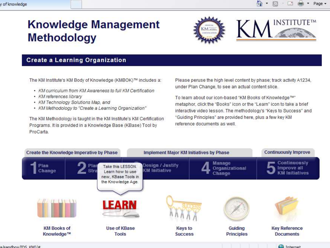## **Knowledge Management Methodology**



#### **Create a Learning Organization**

The KM Institute's KM Body of Knowledge (KMBOK)™ includes a:

- KM curriculum from KM Awareness to full KM Certification
- KM references library
- KM Technology Solutions Map, and
- KM Methodology to "Create a Learning Organization"

The KM Methodology is taught in the KM Institute's KM Certification Programs. It is provided in a Knowledge Base (KBase) Tool by ProCarta.

Please peruse the high level content by phase; track activity A1234, under Plan Change, to see an actual content slice.

To learn about our icon-based "KM Books of Knowledge™" metaphor, click the "Books" icon or the "Learn" icon to take a brief interactive video lesson. The methodology's "Keys to Success" and "Guiding Principles" are provided here, plus a few key KM reference documents as well



Cu Internet